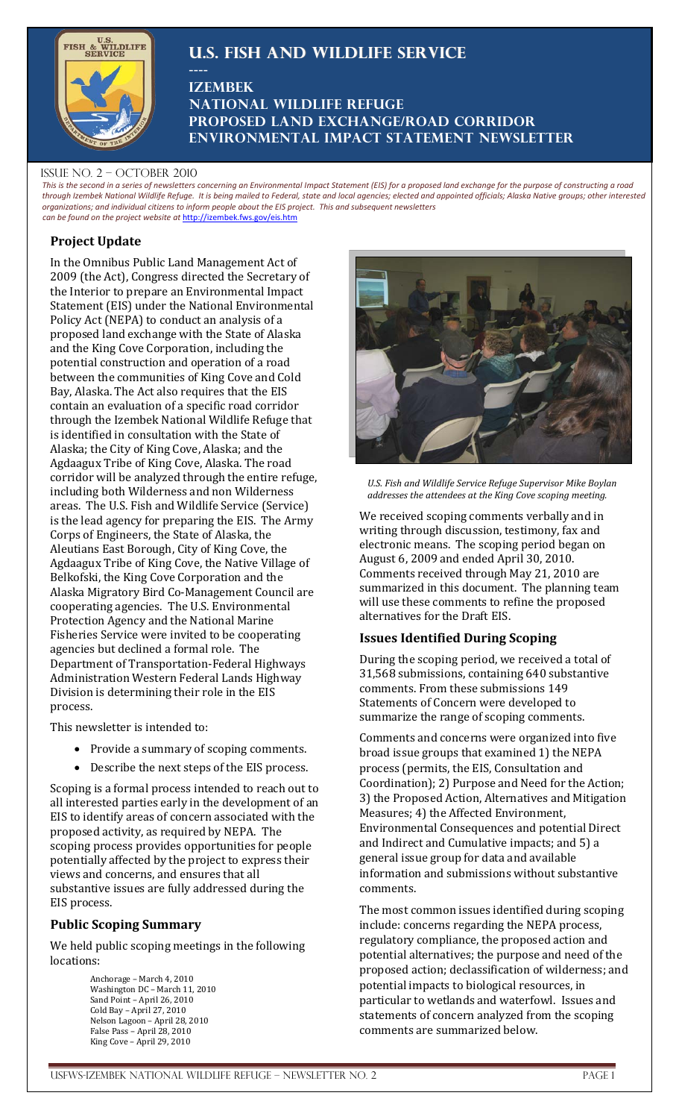# **U.S. Fish and Wildlife Service**



## **Izembek National Wildlife Refuge Proposed Land Exchange/road corridor Environmental Impact Statement newsletter**

#### ISSUE NO.  $2 -$  OCTOBER 2010

*This is the second in a series of newsletters concerning an Environmental Impact Statement (EIS) for a proposed land exchange for the purpose of constructing a road through Izembek National Wildlife Refuge. It is being mailed to Federal, state and local agencies; elected and appointed officials; Alaska Native groups; other interested organizations; and individual citizens to inform people about the EIS project. This and subsequent newsletters can be found on the project website at* [http://izembek.fws.gov/eis.htm](http://www.izembek.fws.gov/eis.htm)

## **Project Update**

In the Omnibus Public Land Management Act of 2009 (the Act), Congress directed the Secretary of the Interior to prepare an Environmental Impact Statement (EIS) under the National Environmental Policy Act (NEPA) to conduct an analysis of a proposed land exchange with the State of Alaska and the King Cove Corporation, including the potential construction and operation of a road between the communities of King Cove and Cold Bay, Alaska. The Act also requires that the EIS contain an evaluation of a specific road corridor through the Izembek National Wildlife Refuge that is identified in consultation with the State of Alaska; the City of King Cove, Alaska; and the Agdaagux Tribe of King Cove, Alaska. The road corridor will be analyzed through the entire refuge, including both Wilderness and non Wilderness areas. The U.S. Fish and Wildlife Service (Service) is the lead agency for preparing the EIS. The Army Corps of Engineers, the State of Alaska, the Aleutians East Borough, City of King Cove, the Agdaagux Tribe of King Cove, the Native Village of Belkofski, the King Cove Corporation and the Alaska Migratory Bird Co-Management Council are cooperating agencies. The U.S. Environmental Protection Agency and the National Marine Fisheries Service were invited to be cooperating agencies but declined a formal role. The Department of Transportation-Federal Highways Administration Western Federal Lands Highway Division is determining their role in the EIS process.

**----**

This newsletter is intended to:

- Provide a summary of scoping comments.
- Describe the next steps of the EIS process.

Scoping is a formal process intended to reach out to all interested parties early in the development of an EIS to identify areas of concern associated with the proposed activity, as required by NEPA. The scoping process provides opportunities for people potentially affected by the project to express their views and concerns, and ensures that all substantive issues are fully addressed during the EIS process.

## **Public Scoping Summary**

We held public scoping meetings in the following locations:

> Anchorage – March 4, 2010 Washington DC – March 11, 2010 Sand Point – April 26, 2010 Cold Bay – April 27, 2010 Nelson Lagoon – April 28, 2010 False Pass – April 28, 2010 King Cove – April 29, 2010



*U.S. Fish and Wildlife Service Refuge Supervisor Mike Boylan addresses the attendees at the King Cove scoping meeting.* 

We received scoping comments verbally and in writing through discussion, testimony, fax and electronic means. The scoping period began on August 6, 2009 and ended April 30, 2010. Comments received through May 21, 2010 are summarized in this document. The planning team will use these comments to refine the proposed alternatives for the Draft EIS.

### **Issues Identified During Scoping**

During the scoping period, we received a total of 31,568 submissions, containing 640 substantive comments. From these submissions 149 Statements of Concern were developed to summarize the range of scoping comments.

Comments and concerns were organized into five broad issue groups that examined 1) the NEPA process (permits, the EIS, Consultation and Coordination); 2) Purpose and Need for the Action; 3) the Proposed Action, Alternatives and Mitigation Measures; 4) the Affected Environment, Environmental Consequences and potential Direct and Indirect and Cumulative impacts; and 5) a general issue group for data and available information and submissions without substantive comments.

The most common issues identified during scoping include: concerns regarding the NEPA process, regulatory compliance, the proposed action and potential alternatives; the purpose and need of the proposed action; declassification of wilderness; and potential impacts to biological resources, in particular to wetlands and waterfowl. Issues and statements of concern analyzed from the scoping comments are summarized below.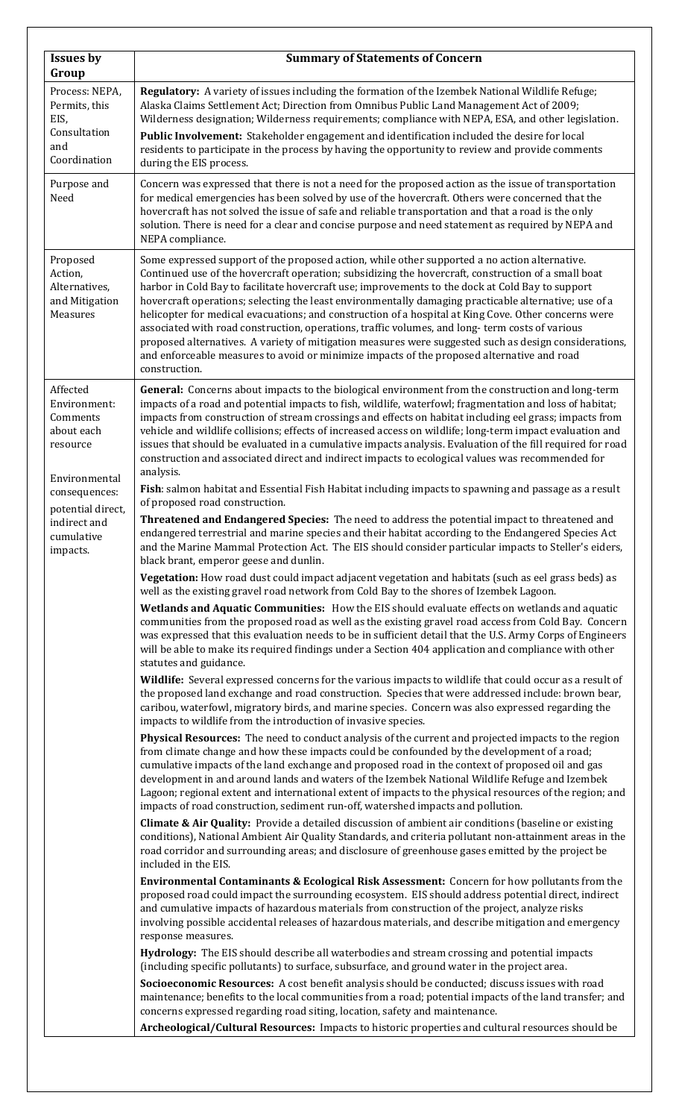| Regulatory: A variety of issues including the formation of the Izembek National Wildlife Refuge;<br>Alaska Claims Settlement Act; Direction from Omnibus Public Land Management Act of 2009;<br>Wilderness designation; Wilderness requirements; compliance with NEPA, ESA, and other legislation.<br>Public Involvement: Stakeholder engagement and identification included the desire for local<br>residents to participate in the process by having the opportunity to review and provide comments                                                                                                                                                                                                                                                                                                                              |
|------------------------------------------------------------------------------------------------------------------------------------------------------------------------------------------------------------------------------------------------------------------------------------------------------------------------------------------------------------------------------------------------------------------------------------------------------------------------------------------------------------------------------------------------------------------------------------------------------------------------------------------------------------------------------------------------------------------------------------------------------------------------------------------------------------------------------------|
| Concern was expressed that there is not a need for the proposed action as the issue of transportation<br>for medical emergencies has been solved by use of the hovercraft. Others were concerned that the<br>hovercraft has not solved the issue of safe and reliable transportation and that a road is the only<br>solution. There is need for a clear and concise purpose and need statement as required by NEPA and                                                                                                                                                                                                                                                                                                                                                                                                             |
| Some expressed support of the proposed action, while other supported a no action alternative.<br>Continued use of the hovercraft operation; subsidizing the hovercraft, construction of a small boat<br>harbor in Cold Bay to facilitate hovercraft use; improvements to the dock at Cold Bay to support<br>hovercraft operations; selecting the least environmentally damaging practicable alternative; use of a<br>helicopter for medical evacuations; and construction of a hospital at King Cove. Other concerns were<br>associated with road construction, operations, traffic volumes, and long-term costs of various<br>proposed alternatives. A variety of mitigation measures were suggested such as design considerations,<br>and enforceable measures to avoid or minimize impacts of the proposed alternative and road |
| General: Concerns about impacts to the biological environment from the construction and long-term<br>impacts of a road and potential impacts to fish, wildlife, waterfowl; fragmentation and loss of habitat;<br>impacts from construction of stream crossings and effects on habitat including eel grass; impacts from<br>vehicle and wildlife collisions; effects of increased access on wildlife; long-term impact evaluation and<br>issues that should be evaluated in a cumulative impacts analysis. Evaluation of the fill required for road<br>construction and associated direct and indirect impacts to ecological values was recommended for                                                                                                                                                                             |
| Fish: salmon habitat and Essential Fish Habitat including impacts to spawning and passage as a result                                                                                                                                                                                                                                                                                                                                                                                                                                                                                                                                                                                                                                                                                                                              |
| Threatened and Endangered Species: The need to address the potential impact to threatened and<br>endangered terrestrial and marine species and their habitat according to the Endangered Species Act<br>and the Marine Mammal Protection Act. The EIS should consider particular impacts to Steller's eiders,                                                                                                                                                                                                                                                                                                                                                                                                                                                                                                                      |
| Vegetation: How road dust could impact adjacent vegetation and habitats (such as eel grass beds) as                                                                                                                                                                                                                                                                                                                                                                                                                                                                                                                                                                                                                                                                                                                                |
| Wetlands and Aquatic Communities: How the EIS should evaluate effects on wetlands and aquatic<br>communities from the proposed road as well as the existing gravel road access from Cold Bay. Concern<br>was expressed that this evaluation needs to be in sufficient detail that the U.S. Army Corps of Engineers<br>will be able to make its required findings under a Section 404 application and compliance with other                                                                                                                                                                                                                                                                                                                                                                                                         |
| Wildlife: Several expressed concerns for the various impacts to wildlife that could occur as a result of<br>the proposed land exchange and road construction. Species that were addressed include: brown bear,<br>caribou, waterfowl, migratory birds, and marine species. Concern was also expressed regarding the                                                                                                                                                                                                                                                                                                                                                                                                                                                                                                                |
| Physical Resources: The need to conduct analysis of the current and projected impacts to the region<br>from climate change and how these impacts could be confounded by the development of a road;<br>cumulative impacts of the land exchange and proposed road in the context of proposed oil and gas<br>development in and around lands and waters of the Izembek National Wildlife Refuge and Izembek<br>Lagoon; regional extent and international extent of impacts to the physical resources of the region; and                                                                                                                                                                                                                                                                                                               |
| Climate & Air Quality: Provide a detailed discussion of ambient air conditions (baseline or existing<br>conditions), National Ambient Air Quality Standards, and criteria pollutant non-attainment areas in the<br>road corridor and surrounding areas; and disclosure of greenhouse gases emitted by the project be                                                                                                                                                                                                                                                                                                                                                                                                                                                                                                               |
| Environmental Contaminants & Ecological Risk Assessment: Concern for how pollutants from the<br>proposed road could impact the surrounding ecosystem. EIS should address potential direct, indirect<br>and cumulative impacts of hazardous materials from construction of the project, analyze risks<br>involving possible accidental releases of hazardous materials, and describe mitigation and emergency                                                                                                                                                                                                                                                                                                                                                                                                                       |
| Hydrology: The EIS should describe all waterbodies and stream crossing and potential impacts                                                                                                                                                                                                                                                                                                                                                                                                                                                                                                                                                                                                                                                                                                                                       |
| Socioeconomic Resources: A cost benefit analysis should be conducted; discuss issues with road<br>maintenance; benefits to the local communities from a road; potential impacts of the land transfer; and<br>Archeological/Cultural Resources: Impacts to historic properties and cultural resources should be                                                                                                                                                                                                                                                                                                                                                                                                                                                                                                                     |
|                                                                                                                                                                                                                                                                                                                                                                                                                                                                                                                                                                                                                                                                                                                                                                                                                                    |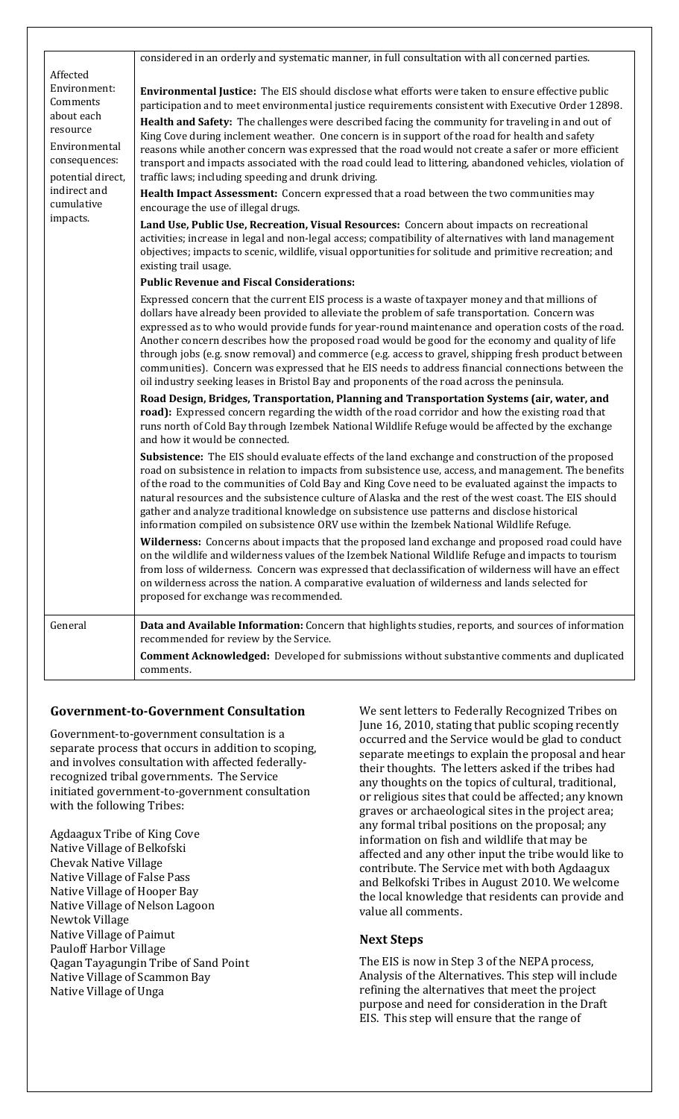|                                                                               | considered in an orderly and systematic manner, in full consultation with all concerned parties.                                                                                                                                                                                                                                                                                                                                                                                                                                                                                                                                                                                                                             |
|-------------------------------------------------------------------------------|------------------------------------------------------------------------------------------------------------------------------------------------------------------------------------------------------------------------------------------------------------------------------------------------------------------------------------------------------------------------------------------------------------------------------------------------------------------------------------------------------------------------------------------------------------------------------------------------------------------------------------------------------------------------------------------------------------------------------|
| Affected<br>Environment:                                                      |                                                                                                                                                                                                                                                                                                                                                                                                                                                                                                                                                                                                                                                                                                                              |
| Comments                                                                      | <b>Environmental Justice:</b> The EIS should disclose what efforts were taken to ensure effective public<br>participation and to meet environmental justice requirements consistent with Executive Order 12898.                                                                                                                                                                                                                                                                                                                                                                                                                                                                                                              |
| about each<br>resource<br>Environmental<br>consequences:<br>potential direct, | Health and Safety: The challenges were described facing the community for traveling in and out of<br>King Cove during inclement weather. One concern is in support of the road for health and safety<br>reasons while another concern was expressed that the road would not create a safer or more efficient<br>transport and impacts associated with the road could lead to littering, abandoned vehicles, violation of<br>traffic laws; including speeding and drunk driving.                                                                                                                                                                                                                                              |
| indirect and<br>cumulative                                                    | Health Impact Assessment: Concern expressed that a road between the two communities may<br>encourage the use of illegal drugs.                                                                                                                                                                                                                                                                                                                                                                                                                                                                                                                                                                                               |
| impacts.                                                                      | Land Use, Public Use, Recreation, Visual Resources: Concern about impacts on recreational<br>activities; increase in legal and non-legal access; compatibility of alternatives with land management<br>objectives; impacts to scenic, wildlife, visual opportunities for solitude and primitive recreation; and<br>existing trail usage.                                                                                                                                                                                                                                                                                                                                                                                     |
|                                                                               | <b>Public Revenue and Fiscal Considerations:</b>                                                                                                                                                                                                                                                                                                                                                                                                                                                                                                                                                                                                                                                                             |
|                                                                               | Expressed concern that the current EIS process is a waste of taxpayer money and that millions of<br>dollars have already been provided to alleviate the problem of safe transportation. Concern was<br>expressed as to who would provide funds for year-round maintenance and operation costs of the road.<br>Another concern describes how the proposed road would be good for the economy and quality of life<br>through jobs (e.g. snow removal) and commerce (e.g. access to gravel, shipping fresh product between<br>communities). Concern was expressed that he EIS needs to address financial connections between the<br>oil industry seeking leases in Bristol Bay and proponents of the road across the peninsula. |
|                                                                               | Road Design, Bridges, Transportation, Planning and Transportation Systems (air, water, and<br>road): Expressed concern regarding the width of the road corridor and how the existing road that<br>runs north of Cold Bay through Izembek National Wildlife Refuge would be affected by the exchange<br>and how it would be connected.                                                                                                                                                                                                                                                                                                                                                                                        |
|                                                                               | Subsistence: The EIS should evaluate effects of the land exchange and construction of the proposed<br>road on subsistence in relation to impacts from subsistence use, access, and management. The benefits<br>of the road to the communities of Cold Bay and King Cove need to be evaluated against the impacts to<br>natural resources and the subsistence culture of Alaska and the rest of the west coast. The EIS should<br>gather and analyze traditional knowledge on subsistence use patterns and disclose historical<br>information compiled on subsistence ORV use within the Izembek National Wildlife Refuge.                                                                                                    |
|                                                                               | Wilderness: Concerns about impacts that the proposed land exchange and proposed road could have<br>on the wildlife and wilderness values of the Izembek National Wildlife Refuge and impacts to tourism<br>from loss of wilderness. Concern was expressed that declassification of wilderness will have an effect<br>on wilderness across the nation. A comparative evaluation of wilderness and lands selected for<br>proposed for exchange was recommended.                                                                                                                                                                                                                                                                |
| General                                                                       | Data and Available Information: Concern that highlights studies, reports, and sources of information<br>recommended for review by the Service.                                                                                                                                                                                                                                                                                                                                                                                                                                                                                                                                                                               |
|                                                                               | <b>Comment Acknowledged:</b> Developed for submissions without substantive comments and duplicated<br>comments.                                                                                                                                                                                                                                                                                                                                                                                                                                                                                                                                                                                                              |

### **Government-to-Government Consultation**

Government-to-government consultation is a separate process that occurs in addition to scoping, and involves consultation with affected federallyrecognized tribal governments. The Service initiated government-to-government consultation with the following Tribes:

Agdaagux Tribe of King Cove Native Village of Belkofski Chevak Native Village Native Village of False Pass Native Village of Hooper Bay Native Village of Nelson Lagoon Newtok Village Native Village of Paimut Pauloff Harbor Village Qagan Tayagungin Tribe of Sand Point Native Village of Scammon Bay Native Village of Unga

We sent letters to Federally Recognized Tribes on June 16, 2010, stating that public scoping recently occurred and the Service would be glad to conduct separate meetings to explain the proposal and hear their thoughts. The letters asked if the tribes had any thoughts on the topics of cultural, traditional, or religious sites that could be affected; any known graves or archaeological sites in the project area; any formal tribal positions on the proposal; any information on fish and wildlife that may be affected and any other input the tribe would like to contribute. The Service met with both Agdaagux and Belkofski Tribes in August 2010. We welcome the local knowledge that residents can provide and value all comments.

#### **Next Steps**

The EIS is now in Step 3 of the NEPA process, Analysis of the Alternatives. This step will include refining the alternatives that meet the project purpose and need for consideration in the Draft EIS. This step will ensure that the range of